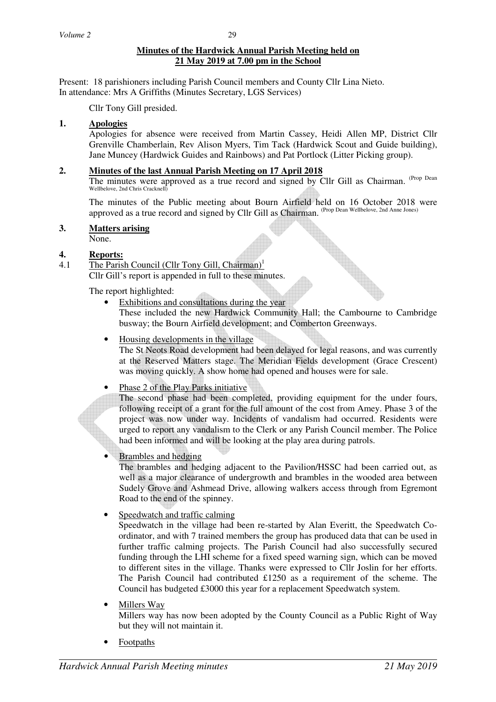# **Minutes of the Hardwick Annual Parish Meeting held on 21 May 2019 at 7.00 pm in the School**

Present: 18 parishioners including Parish Council members and County Cllr Lina Nieto. In attendance: Mrs A Griffiths (Minutes Secretary, LGS Services)

Cllr Tony Gill presided.

## **1. Apologies**

Apologies for absence were received from Martin Cassey, Heidi Allen MP, District Cllr Grenville Chamberlain, Rev Alison Myers, Tim Tack (Hardwick Scout and Guide building), Jane Muncey (Hardwick Guides and Rainbows) and Pat Portlock (Litter Picking group).

## **2. Minutes of the last Annual Parish Meeting on 17 April 2018**

The minutes were approved as a true record and signed by Cllr Gill as Chairman. <sup>(Prop Dean</sup> Wellbelove, 2nd Chris Cracknell<sup>®</sup>

The minutes of the Public meeting about Bourn Airfield held on 16 October 2018 were approved as a true record and signed by Cllr Gill as Chairman. (Prop Dean Wellbelove, 2nd Anne Jones)

## **3. Matters arising**

None.

## **4. Reports:**

4.1 The Parish Council (Cllr Tony Gill, Chairman)<sup>1</sup> Cllr Gill's report is appended in full to these minutes.

The report highlighted:

Exhibitions and consultations during the year

These included the new Hardwick Community Hall; the Cambourne to Cambridge busway; the Bourn Airfield development; and Comberton Greenways.

• Housing developments in the village

The St Neots Road development had been delayed for legal reasons, and was currently at the Reserved Matters stage. The Meridian Fields development (Grace Crescent) was moving quickly. A show home had opened and houses were for sale.

Phase 2 of the Play Parks initiative

The second phase had been completed, providing equipment for the under fours, following receipt of a grant for the full amount of the cost from Amey. Phase 3 of the project was now under way. Incidents of vandalism had occurred. Residents were urged to report any vandalism to the Clerk or any Parish Council member. The Police had been informed and will be looking at the play area during patrols.

• Brambles and hedging

The brambles and hedging adjacent to the Pavilion/HSSC had been carried out, as well as a major clearance of undergrowth and brambles in the wooded area between Sudely Grove and Ashmead Drive, allowing walkers access through from Egremont Road to the end of the spinney.

Speedwatch and traffic calming

Speedwatch in the village had been re-started by Alan Everitt, the Speedwatch Coordinator, and with 7 trained members the group has produced data that can be used in further traffic calming projects. The Parish Council had also successfully secured funding through the LHI scheme for a fixed speed warning sign, which can be moved to different sites in the village. Thanks were expressed to Cllr Joslin for her efforts. The Parish Council had contributed £1250 as a requirement of the scheme. The Council has budgeted £3000 this year for a replacement Speedwatch system.

• Millers Way

Millers way has now been adopted by the County Council as a Public Right of Way but they will not maintain it.

**Footpaths**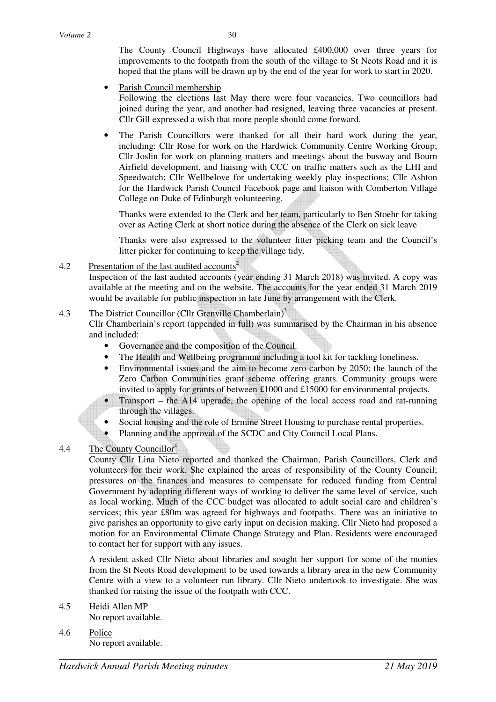The County Council Highways have allocated £400,000 over three years for improvements to the footpath from the south of the village to St Neots Road and it is hoped that the plans will be drawn up by the end of the year for work to start in 2020.

- Parish Council membership Following the elections last May there were four vacancies. Two councillors had joined during the year, and another had resigned, leaving three vacancies at present. Cllr Gill expressed a wish that more people should come forward.
- The Parish Councillors were thanked for all their hard work during the year, including: Cllr Rose for work on the Hardwick Community Centre Working Group; Cllr Joslin for work on planning matters and meetings about the busway and Bourn Airfield development, and liaising with CCC on traffic matters such as the LHI and Speedwatch; Cllr Wellbelove for undertaking weekly play inspections; Cllr Ashton for the Hardwick Parish Council Facebook page and liaison with Comberton Village College on Duke of Edinburgh volunteering.

Thanks were extended to the Clerk and her team, particularly to Ben Stoehr for taking over as Acting Clerk at short notice during the absence of the Clerk on sick leave

Thanks were also expressed to the volunteer litter picking team and the Council's litter picker for continuing to keep the village tidy.

4.2 Presentation of the last audited accounts<sup>2</sup>

Inspection of the last audited accounts (year ending 31 March 2018) was invited. A copy was available at the meeting and on the website. The accounts for the year ended 31 March 2019 would be available for public inspection in late June by arrangement with the Clerk.

# 4.3 The District Councillor (Cllr Grenville Chamberlain)<sup>3</sup>

 Cllr Chamberlain's report (appended in full) was summarised by the Chairman in his absence and included:

- Governance and the composition of the Council.
- The Health and Wellbeing programme including a tool kit for tackling loneliness.
- Environmental issues and the aim to become zero carbon by 2050; the launch of the Zero Carbon Communities grant scheme offering grants. Community groups were invited to apply for grants of between £1000 and £15000 for environmental projects.
- Transport the A14 upgrade, the opening of the local access road and rat-running through the villages.
- Social housing and the role of Ermine Street Housing to purchase rental properties.
- Planning and the approval of the SCDC and City Council Local Plans.

# 4.4 The County Councillor<sup>4</sup>

 County Cllr Lina Nieto reported and thanked the Chairman, Parish Councillors, Clerk and volunteers for their work. She explained the areas of responsibility of the County Council; pressures on the finances and measures to compensate for reduced funding from Central Government by adopting different ways of working to deliver the same level of service, such as local working. Much of the CCC budget was allocated to adult social care and children's services; this year  $\text{\textsterling}80m$  was agreed for highways and footpaths. There was an initiative to give parishes an opportunity to give early input on decision making. Cllr Nieto had proposed a motion for an Environmental Climate Change Strategy and Plan. Residents were encouraged to contact her for support with any issues.

 A resident asked Cllr Nieto about libraries and sought her support for some of the monies from the St Neots Road development to be used towards a library area in the new Community Centre with a view to a volunteer run library. Cllr Nieto undertook to investigate. She was thanked for raising the issue of the footpath with CCC.

# 4.5 Heidi Allen MP

No report available.

4.6 Police No report available.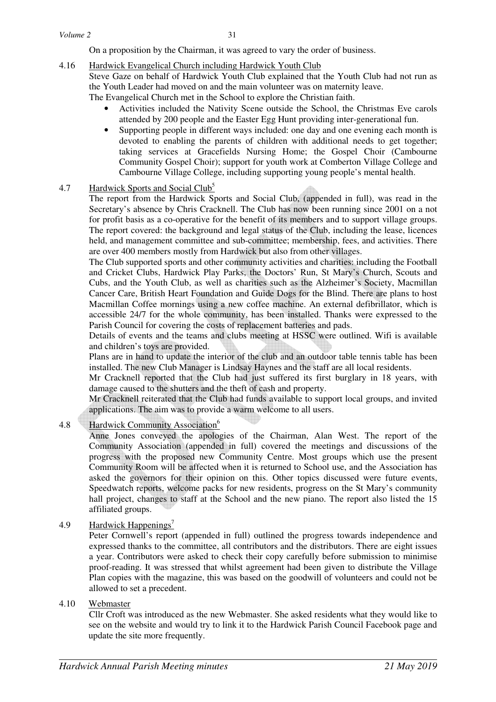On a proposition by the Chairman, it was agreed to vary the order of business.

## 4.16 Hardwick Evangelical Church including Hardwick Youth Club

Steve Gaze on behalf of Hardwick Youth Club explained that the Youth Club had not run as the Youth Leader had moved on and the main volunteer was on maternity leave.

The Evangelical Church met in the School to explore the Christian faith.

- Activities included the Nativity Scene outside the School, the Christmas Eve carols attended by 200 people and the Easter Egg Hunt providing inter-generational fun.
- Supporting people in different ways included: one day and one evening each month is devoted to enabling the parents of children with additional needs to get together; taking services at Gracefields Nursing Home; the Gospel Choir (Cambourne Community Gospel Choir); support for youth work at Comberton Village College and Cambourne Village College, including supporting young people's mental health.
- 4.7 Hardwick Sports and Social Club<sup>5</sup>

 The report from the Hardwick Sports and Social Club, (appended in full), was read in the Secretary's absence by Chris Cracknell. The Club has now been running since 2001 on a not for profit basis as a co-operative for the benefit of its members and to support village groups. The report covered: the background and legal status of the Club, including the lease, licences held, and management committee and sub-committee; membership, fees, and activities. There are over 400 members mostly from Hardwick but also from other villages.

The Club supported sports and other community activities and charities: including the Football and Cricket Clubs, Hardwick Play Parks, the Doctors' Run, St Mary's Church, Scouts and Cubs, and the Youth Club, as well as charities such as the Alzheimer's Society, Macmillan Cancer Care, British Heart Foundation and Guide Dogs for the Blind. There are plans to host Macmillan Coffee mornings using a new coffee machine. An external defibrillator, which is accessible 24/7 for the whole community, has been installed. Thanks were expressed to the Parish Council for covering the costs of replacement batteries and pads.

 Details of events and the teams and clubs meeting at HSSC were outlined. Wifi is available and children's toys are provided.

 Plans are in hand to update the interior of the club and an outdoor table tennis table has been installed. The new Club Manager is Lindsay Haynes and the staff are all local residents.

 Mr Cracknell reported that the Club had just suffered its first burglary in 18 years, with damage caused to the shutters and the theft of cash and property.

 Mr Cracknell reiterated that the Club had funds available to support local groups, and invited applications. The aim was to provide a warm welcome to all users.

4.8 Hardwick Community Association<sup>6</sup>

 Anne Jones conveyed the apologies of the Chairman, Alan West. The report of the Community Association (appended in full) covered the meetings and discussions of the progress with the proposed new Community Centre. Most groups which use the present Community Room will be affected when it is returned to School use, and the Association has asked the governors for their opinion on this. Other topics discussed were future events, Speedwatch reports, welcome packs for new residents, progress on the St Mary's community hall project, changes to staff at the School and the new piano. The report also listed the 15 affiliated groups.

## 4.9 Hardwick Happenings<sup>7</sup>

 Peter Cornwell's report (appended in full) outlined the progress towards independence and expressed thanks to the committee, all contributors and the distributors. There are eight issues a year. Contributors were asked to check their copy carefully before submission to minimise proof-reading. It was stressed that whilst agreement had been given to distribute the Village Plan copies with the magazine, this was based on the goodwill of volunteers and could not be allowed to set a precedent.

## 4.10 Webmaster

Cllr Croft was introduced as the new Webmaster. She asked residents what they would like to see on the website and would try to link it to the Hardwick Parish Council Facebook page and update the site more frequently.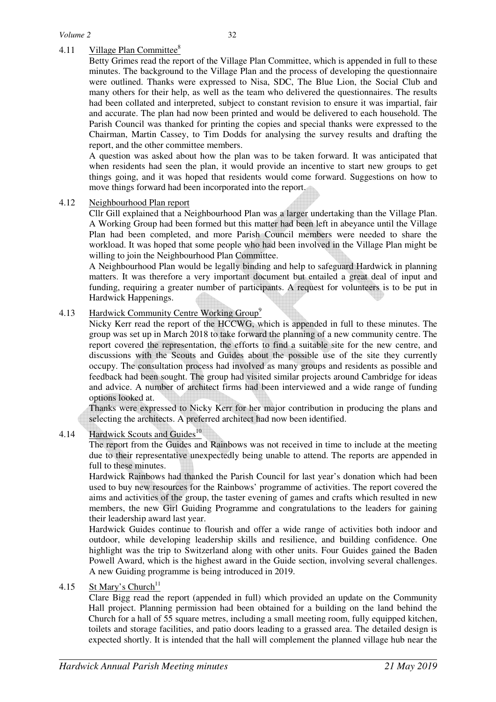## 4.11 Village Plan Committee<sup>8</sup>

Betty Grimes read the report of the Village Plan Committee, which is appended in full to these minutes. The background to the Village Plan and the process of developing the questionnaire were outlined. Thanks were expressed to Nisa, SDC, The Blue Lion, the Social Club and many others for their help, as well as the team who delivered the questionnaires. The results had been collated and interpreted, subject to constant revision to ensure it was impartial, fair and accurate. The plan had now been printed and would be delivered to each household. The Parish Council was thanked for printing the copies and special thanks were expressed to the Chairman, Martin Cassey, to Tim Dodds for analysing the survey results and drafting the report, and the other committee members.

A question was asked about how the plan was to be taken forward. It was anticipated that when residents had seen the plan, it would provide an incentive to start new groups to get things going, and it was hoped that residents would come forward. Suggestions on how to move things forward had been incorporated into the report.

#### 4.12 Neighbourhood Plan report

Cllr Gill explained that a Neighbourhood Plan was a larger undertaking than the Village Plan. A Working Group had been formed but this matter had been left in abeyance until the Village Plan had been completed, and more Parish Council members were needed to share the workload. It was hoped that some people who had been involved in the Village Plan might be willing to join the Neighbourhood Plan Committee.

A Neighbourhood Plan would be legally binding and help to safeguard Hardwick in planning matters. It was therefore a very important document but entailed a great deal of input and funding, requiring a greater number of participants. A request for volunteers is to be put in Hardwick Happenings.

### 4.13 Hardwick Community Centre Working Group<sup>9</sup>

Nicky Kerr read the report of the HCCWG, which is appended in full to these minutes. The group was set up in March 2018 to take forward the planning of a new community centre. The report covered the representation, the efforts to find a suitable site for the new centre, and discussions with the Scouts and Guides about the possible use of the site they currently occupy. The consultation process had involved as many groups and residents as possible and feedback had been sought. The group had visited similar projects around Cambridge for ideas and advice. A number of architect firms had been interviewed and a wide range of funding options looked at.

Thanks were expressed to Nicky Kerr for her major contribution in producing the plans and selecting the architects. A preferred architect had now been identified.

## 4.14 Hardwick Scouts and Guides<sup>10</sup>

The report from the Guides and Rainbows was not received in time to include at the meeting due to their representative unexpectedly being unable to attend. The reports are appended in full to these minutes.

Hardwick Rainbows had thanked the Parish Council for last year's donation which had been used to buy new resources for the Rainbows' programme of activities. The report covered the aims and activities of the group, the taster evening of games and crafts which resulted in new members, the new Girl Guiding Programme and congratulations to the leaders for gaining their leadership award last year.

Hardwick Guides continue to flourish and offer a wide range of activities both indoor and outdoor, while developing leadership skills and resilience, and building confidence. One highlight was the trip to Switzerland along with other units. Four Guides gained the Baden Powell Award, which is the highest award in the Guide section, involving several challenges. A new Guiding programme is being introduced in 2019.

# 4.15 St Mary's Church<sup>11</sup>

Clare Bigg read the report (appended in full) which provided an update on the Community Hall project. Planning permission had been obtained for a building on the land behind the Church for a hall of 55 square metres, including a small meeting room, fully equipped kitchen, toilets and storage facilities, and patio doors leading to a grassed area. The detailed design is expected shortly. It is intended that the hall will complement the planned village hub near the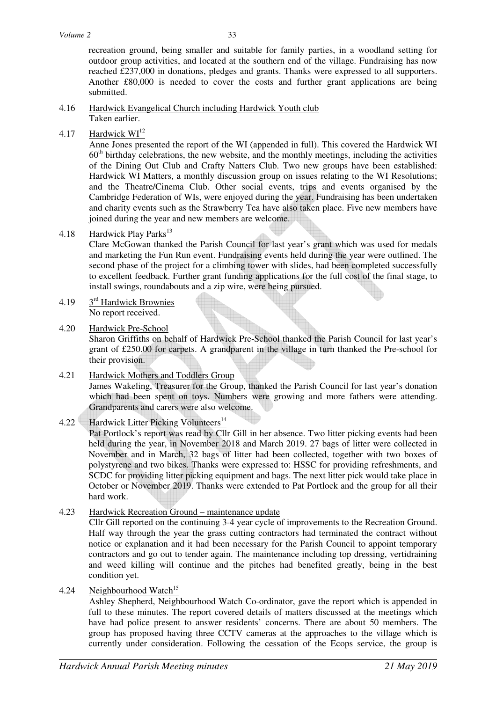recreation ground, being smaller and suitable for family parties, in a woodland setting for outdoor group activities, and located at the southern end of the village. Fundraising has now reached £237,000 in donations, pledges and grants. Thanks were expressed to all supporters. Another £80,000 is needed to cover the costs and further grant applications are being submitted.

- 4.16 Hardwick Evangelical Church including Hardwick Youth club Taken earlier.
- 4.17 Hardwick  $WI<sup>12</sup>$

Anne Jones presented the report of the WI (appended in full). This covered the Hardwick WI  $60<sup>th</sup>$  birthday celebrations, the new website, and the monthly meetings, including the activities of the Dining Out Club and Crafty Natters Club. Two new groups have been established: Hardwick WI Matters, a monthly discussion group on issues relating to the WI Resolutions; and the Theatre/Cinema Club. Other social events, trips and events organised by the Cambridge Federation of WIs, were enjoyed during the year. Fundraising has been undertaken and charity events such as the Strawberry Tea have also taken place. Five new members have joined during the year and new members are welcome.

## 4.18 Hardwick Play Parks<sup>13</sup>

Clare McGowan thanked the Parish Council for last year's grant which was used for medals and marketing the Fun Run event. Fundraising events held during the year were outlined. The second phase of the project for a climbing tower with slides, had been completed successfully to excellent feedback. Further grant funding applications for the full cost of the final stage, to install swings, roundabouts and a zip wire, were being pursued.

- 4.19 3rd Hardwick Brownies No report received.
- 4.20 Hardwick Pre-School

Sharon Griffiths on behalf of Hardwick Pre-School thanked the Parish Council for last year's grant of £250.00 for carpets. A grandparent in the village in turn thanked the Pre-school for their provision.

4.21 Hardwick Mothers and Toddlers Group James Wakeling, Treasurer for the Group, thanked the Parish Council for last year's donation which had been spent on toys. Numbers were growing and more fathers were attending. Grandparents and carers were also welcome.

# 4.22 Hardwick Litter Picking Volunteers<sup>14</sup>

Pat Portlock's report was read by Cllr Gill in her absence. Two litter picking events had been held during the year, in November 2018 and March 2019. 27 bags of litter were collected in November and in March, 32 bags of litter had been collected, together with two boxes of polystyrene and two bikes. Thanks were expressed to: HSSC for providing refreshments, and SCDC for providing litter picking equipment and bags. The next litter pick would take place in October or November 2019. Thanks were extended to Pat Portlock and the group for all their hard work.

4.23 Hardwick Recreation Ground – maintenance update

Cllr Gill reported on the continuing 3-4 year cycle of improvements to the Recreation Ground. Half way through the year the grass cutting contractors had terminated the contract without notice or explanation and it had been necessary for the Parish Council to appoint temporary contractors and go out to tender again. The maintenance including top dressing, vertidraining and weed killing will continue and the pitches had benefited greatly, being in the best condition yet.

# 4.24 Neighbourhood Watch $^{15}$

Ashley Shepherd, Neighbourhood Watch Co-ordinator, gave the report which is appended in full to these minutes. The report covered details of matters discussed at the meetings which have had police present to answer residents' concerns. There are about 50 members. The group has proposed having three CCTV cameras at the approaches to the village which is currently under consideration. Following the cessation of the Ecops service, the group is